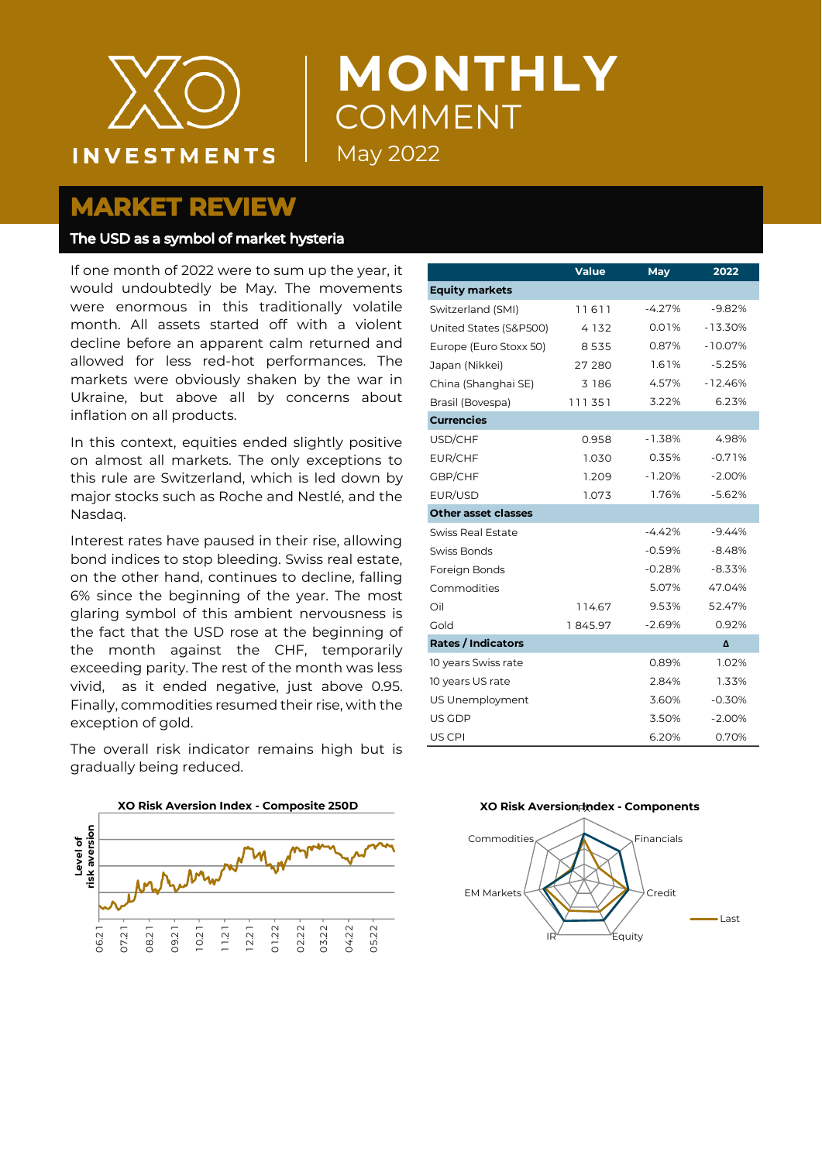

# **MONTHLY** COMMENT May 2022

# **MARKET REVIEW**

#### The USD as a symbol of market hysteria

If one month of 2022 were to sum up the year, it would undoubtedly be May. The movements were enormous in this traditionally volatile month. All assets started off with a violent decline before an apparent calm returned and allowed for less red-hot performances. The markets were obviously shaken by the war in Ukraine, but above all by concerns about inflation on all products.

In this context, equities ended slightly positive on almost all markets. The only exceptions to this rule are Switzerland, which is led down by major stocks such as Roche and Nestlé, and the Nasdaq.

Interest rates have paused in their rise, allowing bond indices to stop bleeding. Swiss real estate, on the other hand, continues to decline, falling 6% since the beginning of the year. The most glaring symbol of this ambient nervousness is the fact that the USD rose at the beginning of the month against the CHF, temporarily exceeding parity. The rest of the month was less vivid, as it ended negative, just above 0.95. Finally, commodities resumed their rise, with the exception of gold.

The overall risk indicator remains high but is gradually being reduced.

|                            | <b>Value</b> | May      | 2022      |
|----------------------------|--------------|----------|-----------|
| <b>Equity markets</b>      |              |          |           |
| Switzerland (SMI)          | 11611        | $-4.27%$ | $-9.82%$  |
| United States (S&P500)     | 4 1 3 2      | 0.01%    | $-13.30%$ |
| Europe (Euro Stoxx 50)     | 8535         | 0.87%    | $-10.07%$ |
| Japan (Nikkei)             | 27 280       | 1.61%    | $-5.25%$  |
| China (Shanghai SE)        | 3 186        | 4.57%    | $-12.46%$ |
| Brasil (Bovespa)           | 111351       | 3.22%    | 6.23%     |
| <b>Currencies</b>          |              |          |           |
| USD/CHF                    | 0.958        | $-1.38%$ | 4.98%     |
| EUR/CHF                    | 1.030        | 0.35%    | $-0.71%$  |
| GBP/CHF                    | 1.209        | $-1.20%$ | $-2.00%$  |
| EUR/USD                    | 1.073        | 1.76%    | $-5.62%$  |
| <b>Other asset classes</b> |              |          |           |
| Swiss Real Estate          |              | $-4.42%$ | $-9.44%$  |
| Swiss Bonds                |              | $-0.59%$ | $-8.48%$  |
| Foreign Bonds              |              | $-0.28%$ | $-8.33%$  |
| Commodities                |              | 5.07%    | 47.04%    |
| Oil                        | 114.67       | 9.53%    | 52.47%    |
| Gold                       | 1845.97      | $-2.69%$ | 0.92%     |
| <b>Rates / Indicators</b>  |              |          | Δ         |
| 10 years Swiss rate        |              | 0.89%    | 1.02%     |
| 10 years US rate           |              | 2.84%    | 1.33%     |
| US Unemployment            |              | 3.60%    | $-0.30%$  |
| US GDP                     |              | 3.50%    | $-2.00%$  |
| US CPI                     |              | 6.20%    | 0.70%     |



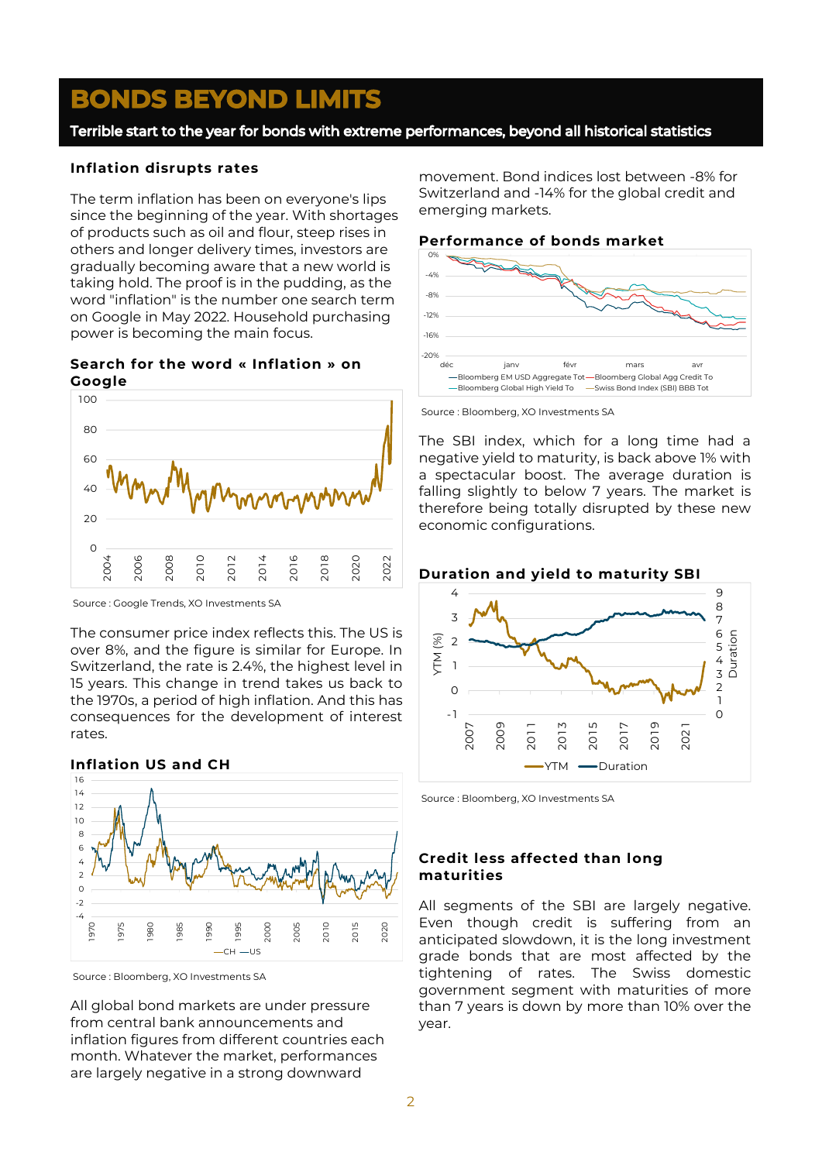# **BONDS BEYOND LIMITS**

Terrible start to the year for bonds with extreme performances, beyond all historical statistics

#### **Inflation disrupts rates**

The term inflation has been on everyone's lips since the beginning of the year. With shortages of products such as oil and flour, steep rises in others and longer delivery times, investors are gradually becoming aware that a new world is taking hold. The proof is in the pudding, as the word "inflation" is the number one search term on Google in May 2022. Household purchasing power is becoming the main focus.

**Search for the word « Inflation » on Google**



Source : Google Trends, XO Investments SA

The consumer price index reflects this. The US is over 8%, and the figure is similar for Europe. In Switzerland, the rate is 2.4%, the highest level in 15 years. This change in trend takes us back to the 1970s, a period of high inflation. And this has consequences for the development of interest rates.

## **Inflation US and CH**



Source : Bloomberg, XO Investments SA

All global bond markets are under pressure from central bank announcements and inflation figures from different countries each month. Whatever the market, performances are largely negative in a strong downward

movement. Bond indices lost between -8% for Switzerland and -14% for the global credit and emerging markets.

#### **Performance of bonds market**



Source : Bloomberg, XO Investments SA

The SBI index, which for a long time had a negative yield to maturity, is back above 1% with a spectacular boost. The average duration is falling slightly to below 7 years. The market is therefore being totally disrupted by these new economic configurations.



Source : Bloomberg, XO Investments SA

## **Credit less affected than long maturities**

All segments of the SBI are largely negative. Even though credit is suffering from an anticipated slowdown, it is the long investment grade bonds that are most affected by the tightening of rates. The Swiss domestic government segment with maturities of more than 7 years is down by more than 10% over the year.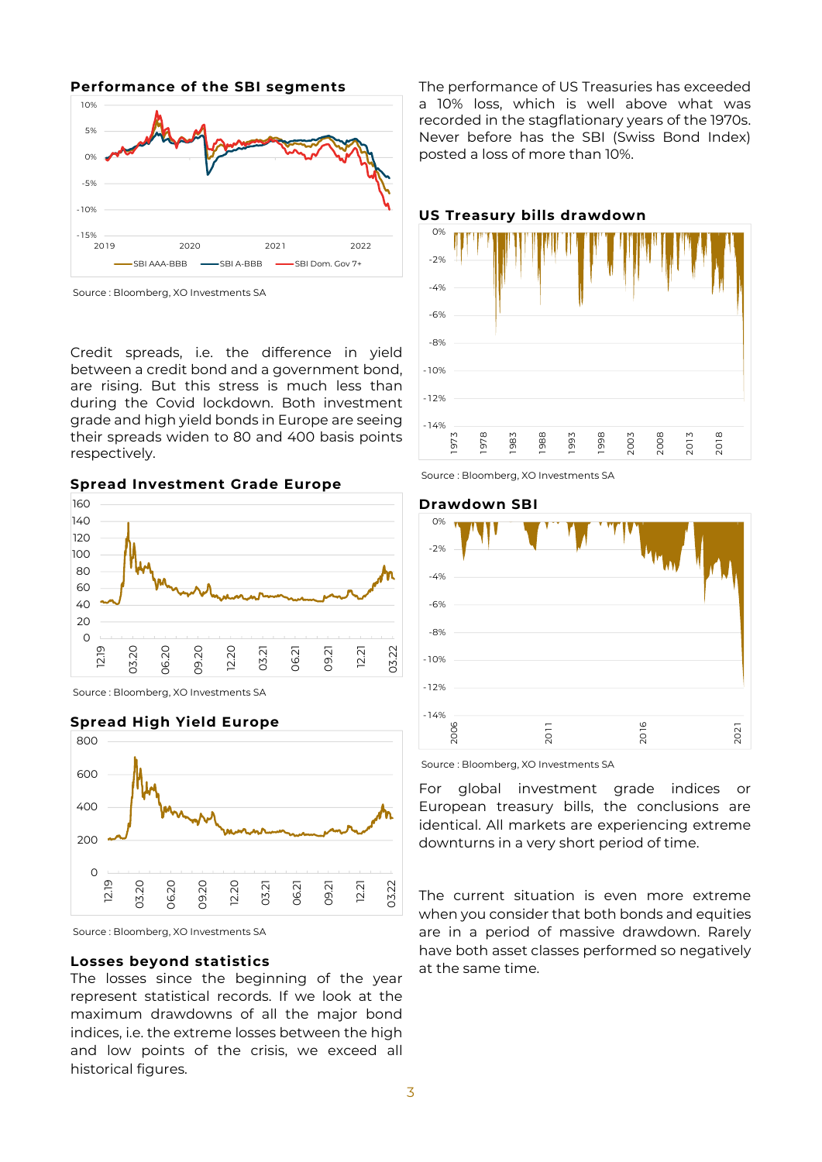**Performance of the SBI segments** -15%  $-10<sup>9</sup>$ -5% 0% 5% 10%

2019 2020 2021 2022 SBI AAA-BBB - SBI A-BBB - SBI Dom. Gov 7+

Source : Bloomberg, XO Investments SA

Credit spreads, i.e. the difference in yield between a credit bond and a government bond, are rising. But this stress is much less than during the Covid lockdown. Both investment grade and high yield bonds in Europe are seeing their spreads widen to 80 and 400 basis points respectively.

**Spread Investment Grade Europe**



Source : Bloomberg, XO Investments SA



Source : Bloomberg, XO Investments SA

#### **Losses beyond statistics**

The losses since the beginning of the year represent statistical records. If we look at the maximum drawdowns of all the major bond indices, i.e. the extreme losses between the high and low points of the crisis, we exceed all historical figures.

The performance of US Treasuries has exceeded a 10% loss, which is well above what was recorded in the stagflationary years of the 1970s. Never before has the SBI (Swiss Bond Index) posted a loss of more than 10%.



#### **US Treasury bills drawdown**





**Drawdown SBI**

Source : Bloomberg, XO Investments SA

For global investment grade indices or European treasury bills, the conclusions are identical. All markets are experiencing extreme downturns in a very short period of time.

The current situation is even more extreme when you consider that both bonds and equities are in a period of massive drawdown. Rarely have both asset classes performed so negatively at the same time.